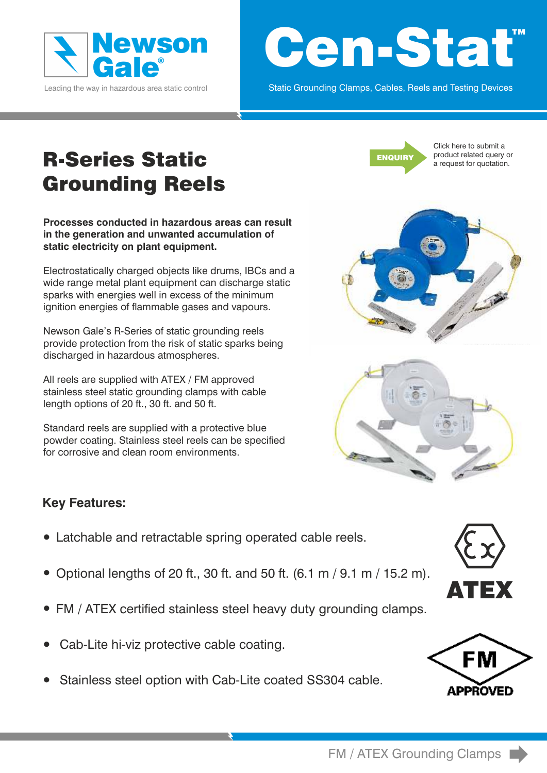

Leading the way in hazardous area static control

# ™ Cen-Stat

Static Grounding Clamps, Cables, Reels and Testing Devices

# R-Series Static Grounding Reels

**Processes conducted in hazardous areas can result in the generation and unwanted accumulation of static electricity on plant equipment.** 

Electrostatically charged objects like drums, IBCs and a wide range metal plant equipment can discharge static sparks with energies well in excess of the minimum ignition energies of flammable gases and vapours.

Newson Gale's R-Series of static grounding reels provide protection from the risk of static sparks being discharged in hazardous atmospheres.

All reels are supplied with ATEX / FM approved stainless steel static grounding clamps with cable length options of 20 ft., 30 ft. and 50 ft.

Standard reels are supplied with a protective blue powder coating. Stainless steel reels can be specified for corrosive and clean room environments.



[Click here to submit a](http://newson-gale.co.uk/datasheetenquiry/datasheet_enquiry_reels203050.asp)  [product related query or](http://newson-gale.co.uk/datasheetenquiry/datasheet_enquiry_reels203050.asp)  [a request for quotation.](http://newson-gale.co.uk/datasheetenquiry/datasheet_enquiry_reels203050.asp)





### **Key Features:**

- Latchable and retractable spring operated cable reels.
- Optional lengths of 20 ft., 30 ft. and 50 ft.  $(6.1 \text{ m} / 9.1 \text{ m} / 15.2 \text{ m})$ .
- FM / ATEX certified stainless steel heavy duty grounding clamps.
- Cab-Lite hi-viz protective cable coating.
- Stainless steel option with Cab-Lite coated SS304 cable.



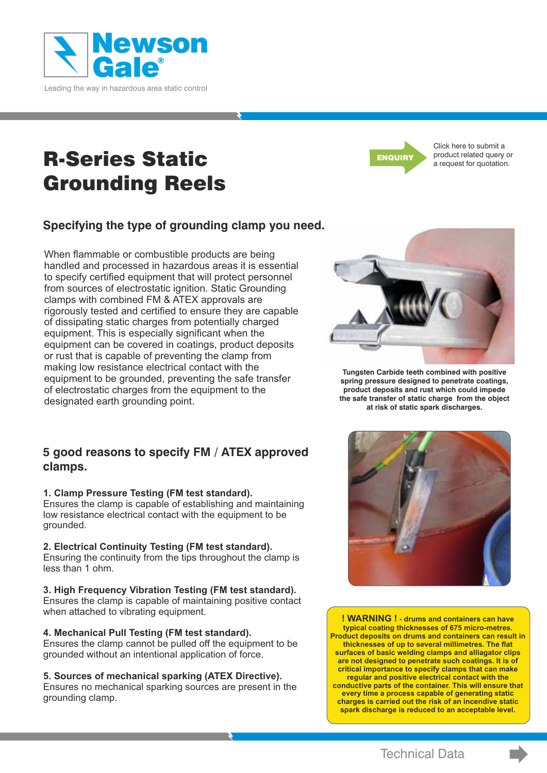<span id="page-1-0"></span>

R-Series Static Grounding Reels

### **Specifying the type of grounding clamp you need.**

When flammable or combustible products are being handled and processed in hazardous areas it is essential to specify certified equipment that will protect personnel from sources of electrostatic ignition. Static Grounding clamps with combined FM & ATEX approvals are rigorously tested and certified to ensure they are capable of dissipating static charges from potentially charged equipment. This is especially significant when the equipment can be covered in coatings, product deposits or rust that is capable of preventing the clamp from making low resistance electrical contact with the equipment to be grounded, preventing the safe transfer of electrostatic charges from the equipment to the designated earth grounding point.

#### **5 good reasons to specify FM / ATEX approved clamps.**

#### **1. Clamp Pressure Testing (FM test standard).**

Ensures the clamp is capable of establishing and maintaining low resistance electrical contact with the equipment to be grounded.

#### **2. Electrical Continuity Testing (FM test standard).**

Ensuring the continuity from the tips throughout the clamp is less than 1 ohm.

#### **3. High Frequency Vibration Testing (FM test standard).**

Ensures the clamp is capable of maintaining positive contact when attached to vibrating equipment.

#### **4. Mechanical Pull Testing (FM test standard).**

Ensures the clamp cannot be pulled off the equipment to be grounded without an intentional application of force.

#### **5. Sources of mechanical sparking (ATEX Directive).**

Ensures no mechanical sparking sources are present in the grounding clamp.



[Click here to submit a](http://newson-gale.co.uk/datasheetenquiry/datasheet_enquiry_reels203050.asp)  [product related query or](http://newson-gale.co.uk/datasheetenquiry/datasheet_enquiry_reels203050.asp)  [a request for quotation.](http://newson-gale.co.uk/datasheetenquiry/datasheet_enquiry_reels203050.asp)



**Tungsten Carbide teeth combined with positive spring pressure designed to penetrate coatings, product deposits and rust which could impede the safe transfer of static charge from the object at risk of static spark discharges.** 



**! WARNING ! - drums and containers can have typical coating thicknesses of 675 micro-metres. Product deposits on drums and containers can result in thicknesses of up to several millimetres. The flat surfaces of basic welding clamps and alliagator clips are not designed to penetrate such coatings. It is of critical importance to specify clamps that can make regular and positive electrical contact with the conductive parts of the container. This will ensure that every time a process capable of generating static charges is carried out the risk of an incendive static spark discharge is reduced to an acceptable level.**

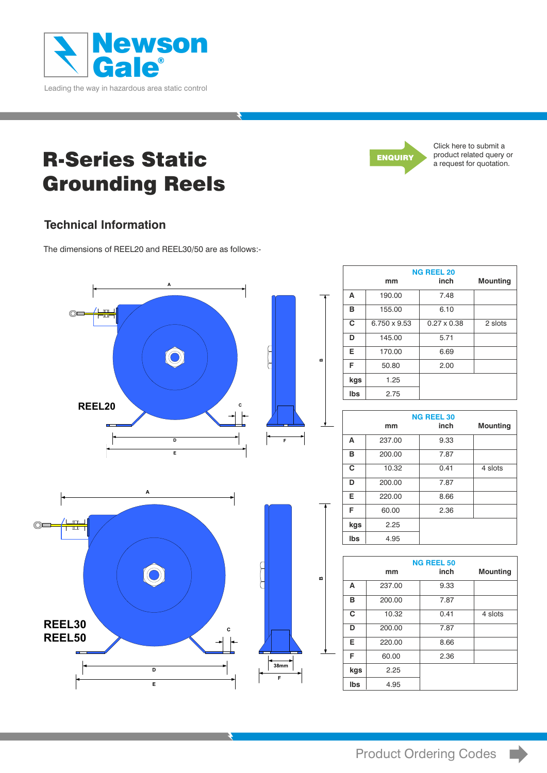<span id="page-2-0"></span>

# R-Series Static Grounding Reels



[Click here to submit a](http://newson-gale.co.uk/datasheetenquiry/datasheet_enquiry_reels203050.asp)  [product related query or](http://newson-gale.co.uk/datasheetenquiry/datasheet_enquiry_reels203050.asp)  [a request for quotation.](http://newson-gale.co.uk/datasheetenquiry/datasheet_enquiry_reels203050.asp)

### **Technical Information**

The dimensions of REEL20 and REEL30/50 are as follows:-



|     | <b>NG REEL 20</b> |                    |                 |
|-----|-------------------|--------------------|-----------------|
|     | mm                | inch               | <b>Mounting</b> |
| A   | 190.00            | 7.48               |                 |
| в   | 155.00            | 6.10               |                 |
| C   | 6.750 x 9.53      | $0.27 \times 0.38$ | 2 slots         |
| D   | 145.00            | 5.71               |                 |
| Е   | 170.00            | 6.69               |                 |
| F   | 50.80             | 2.00               |                 |
| kgs | 1.25              |                    |                 |
| Ibs | 2.75              |                    |                 |

| <b>NG REEL 30</b> |        |      |                 |
|-------------------|--------|------|-----------------|
|                   | mm     | inch | <b>Mounting</b> |
| A                 | 237.00 | 9.33 |                 |
| в                 | 200.00 | 7.87 |                 |
| C                 | 10.32  | 0.41 | 4 slots         |
| D                 | 200.00 | 7.87 |                 |
| Е                 | 220.00 | 8.66 |                 |
| F                 | 60.00  | 2.36 |                 |
| kgs               | 2.25   |      |                 |
| Ibs               | 4.95   |      |                 |

|     |        | <b>NG REEL 50</b> |                 |
|-----|--------|-------------------|-----------------|
|     | mm     | inch              | <b>Mounting</b> |
| A   | 237.00 | 9.33              |                 |
| в   | 200.00 | 7.87              |                 |
| C   | 10.32  | 0.41              | 4 slots         |
| D   | 200.00 | 7.87              |                 |
| Е   | 220.00 | 8.66              |                 |
| F   | 60.00  | 2.36              |                 |
| kgs | 2.25   |                   |                 |
| Ibs | 4.95   |                   |                 |

 $\blacktriangleright$